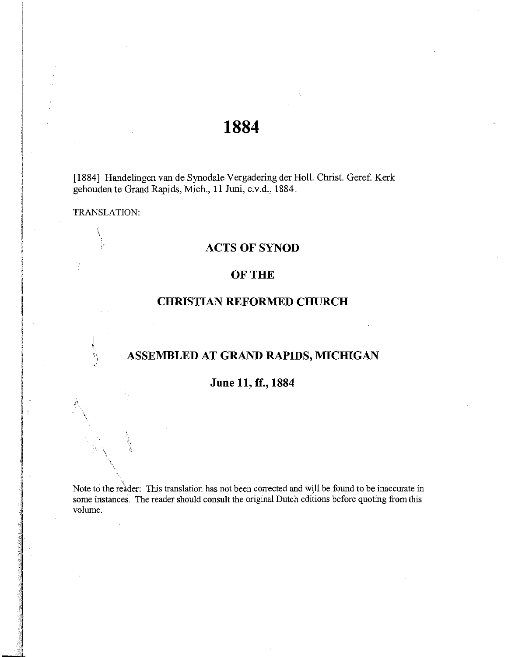# **1884**

[1884] Handelingen van de Synodale Vergadering der Holl. Christ. Geref. Kerk gehouden te Grand Rapids, Mich., 11 Juni, e.v.d., 1884.

TRANSLATION:

 $\int$ 

 $\bigwedge$ 

 $\mathcal{L}$ 

### **ACTS OF SYNOD**

### OF THE

## **CHRISTIAN REFORMED CHURCH**

# **ASSEMBLED AT GRAND RAPIDS, MICHIGAN**

### **June 11, ff., 1884**

Note to the reader: This translation has not been corrected and will be found to be inaccurate in some instances. The reader should consult the original Dutch editions before quoting from this volume.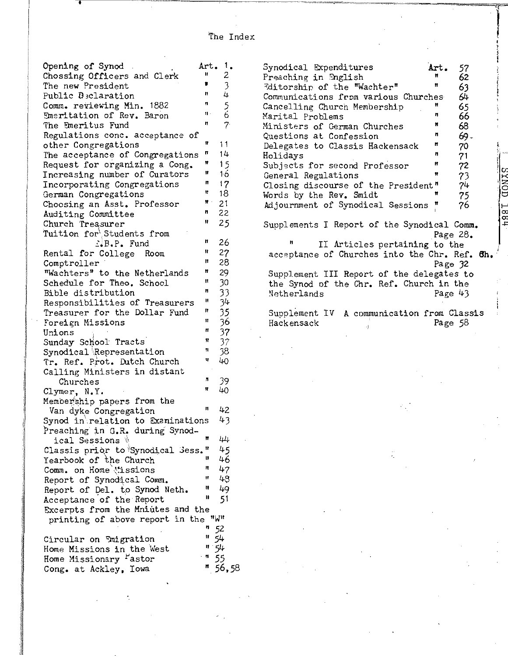I I Opening of Synod Art. 1. Chossing Officers and Clerk  $\begin{array}{ccc} & \cdots & \cdots & 2 \\ \text{The new President} & & \end{array}$ The new President  $\begin{array}{ccc} 7 & 3 \ \text{Public} & \text{3} & \text{4} \ \text{Comm.} & \text{revierving Min.} & 1882 & 11 & 5 \ \text{Emertiation of Rev. Baron} & \text{if} & 6 \end{array}$ Comm. reviewing Min. 1882 " 5" Emeritation of Rev. Baron  $\frac{m}{2}$ <br>The Emeritus Fund (1997) The Emeritus Fund Regulations conc. acceptance of other Congregations " 11 The acceptance of Congregations " 14 Request for organizing a Cong.  $" 15$ Increasing number of Curators " 16 Incorporating Congregations "17 German Congregations  $\frac{18}{18}$ Choosing an Asst. Professor  $N = 21$ Auditing Committee n 22 Church Treasurer " 25 Tuition for'.Students from ':.B.P. Fund Rental for College Room Comptroller "Wachters" to the Netherlands Schedule for Theo. School Bible distribution Responsibilities of Treasurers Treasurer for the Dollar Fund Foreign Missions Unions Sunday School Tracts Synodical Representation Tr. Ref. Prot. Dutch Church Calling Ministers in distant Churches Clymer, N.Y. Membership papers from the " " " " " " " " " " " " " Van dyke Congregation " Synod in\relation to Examinations Preaching in G.R. during Synodical Sessions  $\mathbb N$ Classis prior to Synodical Sess." Yearbook of the Church "<br>Comme on Home "is criens" " Comm. on Home \issions Report of Synodical Comm. Report of Del. to Synod Neth. Acceptance 'of the Report Excerpts from the Mniutes and the 26 27 28 29 30 33 34 35 36 37 37 38 40 39 40 42 43 44 45 46 47 48 49 51 printing of above report in the "w" n 52 Circular on *Imigration* Home Missions in the West Home Missionary <sup>F</sup>astor Cong. at Ackley, Iowa " 54 "54  $^{\circ}$  " 55  $"56,58$ 

•

Preaching in Snglish n ~itorship <sup>n</sup>of the "Wachter" Communications from various Churches n Cancelling Church Membership Marital Problems Ministers of German Churches Questions at Confession Delegates to Classis Hackensack Holidays Subjects for second Professor General Regulations n " n " n<br>" n n n Closing discourse of the President" Words by the Rev. Smidt Adjournment of Synodical Sessions " 62 63 64 65 66 68 69- 70 71 72 73 74 75 76 Supplements I Report of the Synodical Comm. Page 28. 1  $\int$ ان lcg **NX**  $\mathcal{L}$ n and Trage 20.<br> **acceptance of Churches into the Chr. Ref. 6h.** II Articles pertaining to the Supplement III Report of the delegates to the Synod of the Chr. Ref. Church in the Netherlands Page 32 Page 43 Supplement IV A communication from Classis Hackensack Page 58

Synodical Expenditures **Art.** 

57

o  $\ddot{}$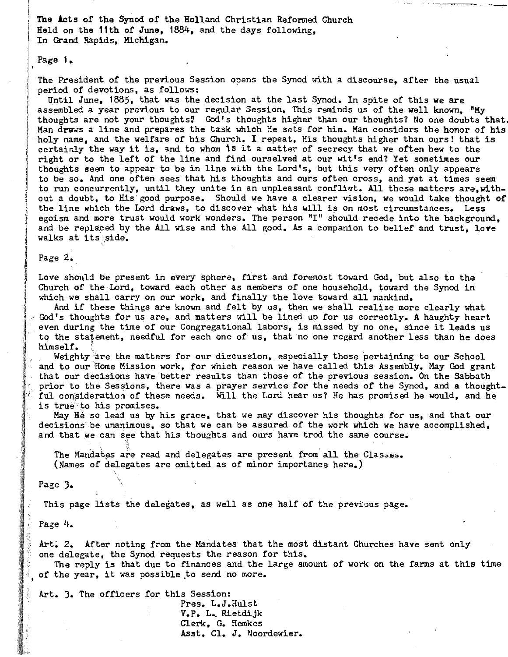The Acts of the Synod of the Holland Christian Reformed Church Held on the 11th of June, 1884, and the days following, In Grand Rapids, Michigan.

Page **1.** 

The President of the previous Session opens the Synod with a discourse, after the usual period of devotions, as follows:

Until June, 1885. that was the decision at the last Synod. In spite of this we are assembled a year previous to our regular Session. This reminds us of the well known, "My thoughts are not your thoughts! God's thoughts higher than our thoughts? No one doubts that. Man draws a line and prepares the task which He sets for him. Man considers the honor of his an draws a line and prepares the task which He sets for him. Man considers the honor of his<br>oly name, and the welfare of his Church. I repeat, His thoughts higher than ours! that is oly name, and the welfare of his Church. I repeat, His thoughts higher than ours! that i<br>ertainly the way it is, and to whom is it a matter of secrecy that we often hew to the certainly the way it is, and to whom 15 it a matter of secrecy that we often hew to the right or to the left of the line and find ourselved at our wit's end? Yet sometimes our thoughts seem to appear to be 1n line with the Lord's, but this very often only appears to be so. And one often sees that his thoughts and ours often cross, and yet at times seem to run concurrently, until they unite in an unpleasant conflivt. All these matters are,without a doubt, to His good purpose. Should we have a clearer vision, we would take thought of the line which the Lord draws, to discover what his will is on most circumstances. Less egoism and more trust would work wonders. The person "I" should recede into the background, goism and more trust would work wonders. The person "I" should recede into the background,<br>nd be replaced by the All wise and the All good. As a companion to belief and trust, love nd be replaced by :<br>alks at its side.

#### **Page 2.**

Love should be present in every sphere, first and foremost toward God, but also to the Church of the Lord, toward each other as members of one household, toward the Synod in which we shall carry on our work, and finally the love toward all mankind.

And if these things are known and felt by us, then we shall realize more clearly what And II these things are known and felt by us, then we shall realize more clearly what<br>od's thoughts for us are, and matters will be lined up for us correctly. A haughty heart od's thoughts for us are, and matters will be lined up for us correctly. A haughty heart<br>ven during the time of our Congregational labors, is missed by no one, since it leads us even during the time of our Congregational labors, is missed by no one, since it leads us<br>to the statement, needful for each one of us, that no one regard another less than he does<br>himself.

Weighty are the matters for our diccussion, especially those pertaining to our School and to our Home Mission work, for which reason we have called this Assembly. May God grant that our decisions have better results than those of the previous session. On the Sabbath prior to the Sessions, there was a prayer service for the needs of the Synod, and a thoughtfuor to the sessions, there was a prayer service for the heeds of the synod, and a thought.<br>In consideration of these needs. Will the Lord hear us? He has promised he would, and he ul consideration of these<br>s true to his promises.

is true to his promises.<br>May He so lead us by his grace, that we may discover his thoughts for us, and that our may he so lead us by his grace, that we may discover his thoughts for us, and that our ecisions be unanimous, so that we can be assured of the work which we have accomplished, not that we can see that his thoughts and ours

The Mandates are read and delegates are present from all the Classes. (Names of delegates are omitted as of minor importance here.)

Page 3. \

This page lists the delegates, as well as one half of the previous page.

**Page 4.** 

Art. 2. After noting from the Mandates that the most distant Churches have sent only one delegate, the Synod requests the reason for this. delegate, the Synod requests the reason for this.<br>he reply is that due to finances and the large amount of work on the farms at this time

The reply is that due to finances and the  $1$ <br>f the year, it was possible to send no more.

Art. 3. The officers for this Session:

Pres. L.J.Hulst V. P. L., Rietdijk Clerk, G. Hemkes Asst. Cl. J. Noordewier.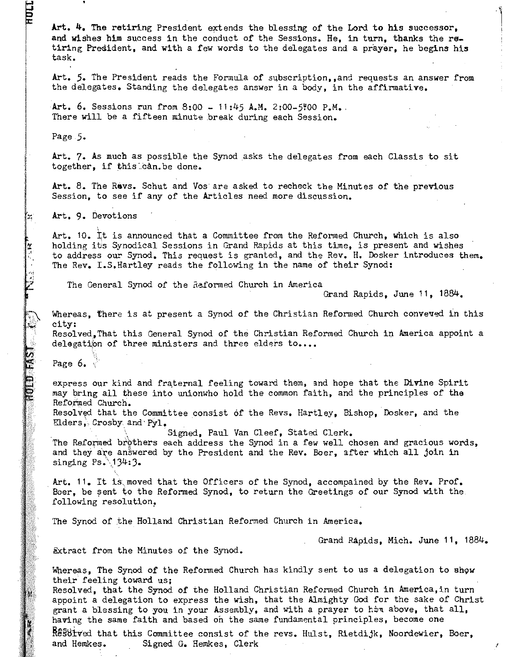**Art. 4.** The retiring President extends the blessing *or* the Lord to his successor, and wishes him success in the conduct *or* the Sessions. He, in turn, thanks the re\_ tiring President, and with a few words to the delegates and a prayer, he begins his task.

Art. 5. The President reads the Formula of subscription..and requests an answer from the delegates. Standing the delegates answer in a body, in the affirmative.

Art. 6. Sessions run from 8:00 -  $11:45$  A.M. 2:00-5:00 P.M. There will be a firteen minute break during each Session.

Page 5.

HDII

Î٦.

 $\mathbb{R}$ 

HULD FAS

Art. 7. As much as possible the Synod asks the delegates from each Classis to sit together, if this can.be done.

Art. 8. The Revs. Schut and Vos'are asked to recheck the Minutes of the previous Session, to see ir any *or* the Articles need more discussion.

Art. 9. Devotions

Art. 10. tt is announced that a Committee rrom the Reformed Church, which is also holding its Synodical Sessions in Grand Rapids at this time, is present and wishes to address our Synod. This request is granted, and the Rev. H. Dosker introduces them. The Rev. I.S.Hartley reads the following in the name of their Synod:

The General Synod of the Raformed Church in America

Grand Rapids, June 11, 1884.

 $1 - 1$ 

Whereas, there is at present a Synod of the Christian Reformed Church conveved in this city:

Resolved, That this General Synod of the Christian Reformed Church in America appoint a delegation of three ministers and three elders to....

 $\S.$ Page 6.  $\frac{1}{2}$ 

express our kind and fraternal feeling toward them, and hope that the Divine Spirit may bring all these into unionwho hold the common faith, and the principles or the Reformed Church.

Resolved that the Committee consist of the Revs. Hartley, Bishop, Dosker, and the Elders, Crosby and Pyl.

Signed, Paul Van Cleef, Stated Clerk.

The Reformed brothers each address the Synod in a few well chosen and gracious words, and they are answered by the President and the Rev. Boer, after which all join in singing  $Ps \cdot 134:3$ .

Art. 11. It is moved that the Officers of the Synod, accompained by the Rev. Prof. Boer, be sent to the Reformed Synod, to return the Greetings of our Synod with the following resolution,

The Synod of the Holland Christian Reformed Church in America.

Grand Rapids, Mich. June 11, 1884.

Extract from the Minutes of the Synod.

Whereas, The Synod of the Reformed Church has kindly sent to us a delegation to show their feeling toward us;

Resolved, that the Synod *or* the Holland Christian Reformed Church in America,in turn appoint a delegation to express the wish, that the Almighty Cod for the sake of Christ grant a blessing to you in your Assembly, and with a prayer to him above, that all, having the same faith and based on the same fundamental principles, become one

ftsstll:ved that this Committee consist *or* the revs. Hulst, Rietdijk, Noordewier, Boer, and Hemkes. Signed G. Hemkes, Clerk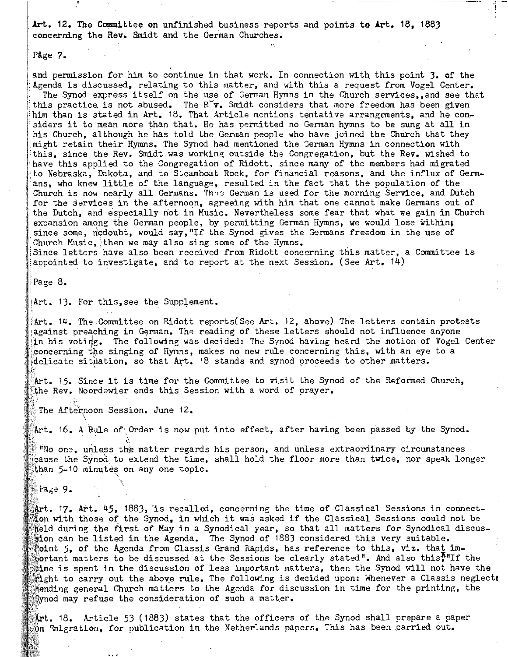Art. 12. The Committee on unfinished business reports and points to Art. 18, 1883 concerning the Rev. Smidt and the German Churches.

Page 7.

and permission for him to continue in that work. In connection with this point 3. of the Agenda is discussed, relating to this matter, and with this a request from Vogel Center. The Synod express itself on the use of German Hymns in the Church services, and see that this practice is not abused. The  $R\tilde{v}$ . Smidt considers that more freedom has been given him than is stated in Art. 18. That Article mentions tentative arrangements, and he considers it to mean more than that. He has permitted no German hymns to be sung at all in his Church, although he has told the German people who have joined the Church that they might retain their Hymns. The Synod had mentioned the German Hymns in connection with this, since the Rev. Smidt was working outside the Congregation, but the Rev. wished to have this applied to the Congregation of Ridott, since many of the members had migrated :to Nebraska, Dakota, and to Steamboat Rock, for financial reasons, and the influx of Germ- 'ans, who knew little of the language, resulted in the fact that the population of the Church is now nearly all Germans. Thus German is used for the morning Service, and Dutch for the jervices in the afternoon, agreeing with him that one cannot make Germans out of the Dutch, and especially not in Music. Nevertheless some fear that what we gain in Church expansion among the German people, by permitting German Hymns, we would lose within; since some, nodoubt, would say, "If the Synod gives the Germans freedom in the use of Church Music, then we may also sing some of the Hymns.

Since letters have also been received from Ridott concerning this matter, a Committee is aopointed to investigate, and to report at the next Session. (See Art. 14)

,Page 8.

iArt. 13. For this,see the Supplement •

• Art. 14. The Committee on Ridott reports(See Art. 12, above) The letters contain protests against preaching in German. The reading of these letters should not influence anyone in his voting. The following was decided: The Synod having heard the motion of Vogel Center concerning the singing of Hymns, makes no new rule concerning this, with an eye to a delicate situation, so that Art. 18 stands and synod proceeds to other matters.

Art. 15. Since it is time for the Committee to visit the Synod of the Reformed Church, the Rev. Noordewier ends this Session with a word of prayer.

The Afternoon Session. June 12.

Art. 16. A Rule of Order is now put into effect, after having been passed by the Synod.

"No one, unless the matter regards his person, and unless extraordinary circumstances gause the Synod to extend the time, shall hold the floor more than twice, nor speak longer than 5-10 minutes on any one topic.

Page 9.

Art. 45, 1883, 'is recalled, concerning the time of Classical Sessions in connectton with those of the Synod, in which it was asked if the Classical Sessions could not be held during the first of May in a Synodical year, so that all matters for Synodical discusaion can be listed in the Agenda. The Synod of 1883 considered this very suitable. 5, of the Agenda from Classis Grand Rapids, has reference to this, viz. that important matters to be discussed at the Sessions be clearly stated". And also this\*"If the ine is spent in the discussion of less important matters, then the Synod will not have the  $t$  to carry out the above rule. The following is decided upon: Whenever a Classis neglect.  $\bar{f}$ ending general Church matters to the Agenda for discussion in time for the printing, the ynod may refuse the consideration of such a matter.

18. Article 53 (1883) states that the officers of the Synod shall prepare a paper on  $\mathfrak A$  migration, for publication in the Netherlands papers. This has been carried out.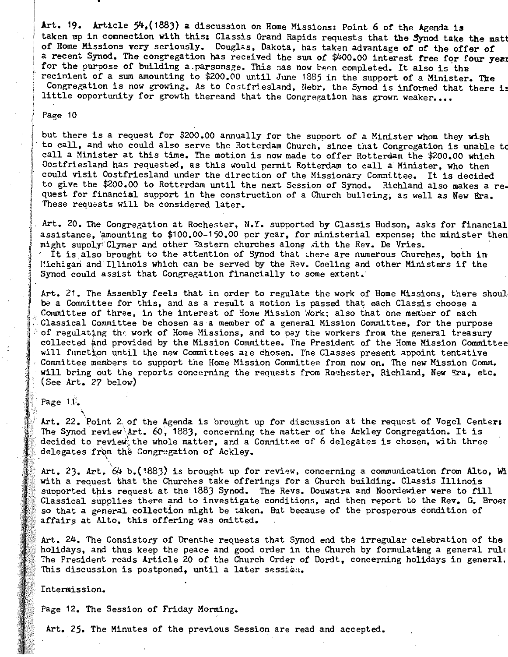Art. 19. Article  $54$ , (1883) a discussion on Home Missions: Point 6 of the Agenda is taken up in connection with this: Classis Grand Rapids requests that the Synod take the matt of Home Missions very seriously. Douglas, Dakota, has taken advantage of of the offer of a recent Synod. The congregation has received the sum of \$400.00 interest free four year:<br>The cent Synod. The congregation has received the sum of \$400.00 interest free four from year: from the purpose of building a parsonsge. This ass now been completed. It also is the completed of the completed  $\frac{1}{2}$  is the completed. It also is the or the purpose of building a.parsonsge. This has now been completed. It also is the<br>ecipient of a sum amounting to \$200.00 until June 1885 in the support of a Minister. The cinient of a sum amounting to \$200.00 until June 1885 in the support of a Minister. The<br>ongregation is now growing. As to Costfriesland, Nebr. the Synod is informed that there is Congregation is now growing. As to Costfriesland, Nebr. the Synod is informed that there is<br>little opportunity for growth thereand that the Congregation has grown weaker....

#### Page 10

but there is a request for \$200.00 annually for the support of a Minister whom they wish ut there is a request for \$200.00 annually for the support of a Minister whom they wish<br>O call, and who could also serve the Rotterdam Church, since that Congregation is unable to o call, and who could also serve the Rotterdam Church, since that Congregation is unable t<br>all a Minister at this time. The motion is now made to offer Botterdam the \$200.00 which call a Minister at this time. The motion is now made to offer Rotterdam the \$200.00 which Oostfriesland has requested, as this would permit Rotterdam to call a Minister, who then<br>could visit Oostfriesland under the direction of the Missionary Committee. It is decided ouid visit costiriesiand under the direction of the Missionary Committee. It is decided<br>O give the \$200.00 to Rottrrdam until the next Session of Symod. Richland also makes a reo give the \$200.00 to hottrraam until the next Session of Synod. Richland also makes a rea.<br>Nest for financial support in the construction of a Church building, as well as New Era. quest for financial support in the construction of a Church builcing, as well as New Era.<br>These requests will be considered later.

Art. 20. The Congregation at Rochester, N.Y. supported by Classis Hudson, asks for financial assistance, and the congregation at Rochester, N.I. supported by Classis Hudson, asks for financial expenses the minister then ssistance, amounting to \$100.00-150.00 per year, for ministerial expense; the minister the Same Clymer and other Factorn churches along-dibited Rev. De Vries. might supoly Clymer and other Eastern churches along with the Rev. De Vries. It is also brought to the attention of Synod that there are numerous Churches, both in Michigan and Illinois which can be served by the Rev. Coeling and other Ministers if the Synod could assist that Congregation financially to some extent.

)xt. 21. The Assembly feels that in order to regulate the work of Home Missions, there shoul, rt. 21. The Assembly feels that in order to regulate the work of Home Missions, there :<br>a a Committee for this, and as a result a motion is passed that each Classis choose a be a Committee for this, and as a result a motion is passed that each Classis choose a<br>Committee of three, in the interest of Home Mission Work; also that one member of each Classical Committee be chosen as a member of a general Mission Committee, for the purpose of regulating the work of Home Missions, and to pay the workers from the general treasury I regulating the work of home missions, and to pay the workers from the general treasury.<br>Ollected and provided by the Mission Committee. The President of the Home Mission Committee ollected and provided by the Mission Committee. The President of the Home Mission Committ<br>ill function until the new Committees are chosen. The Classes present appoint tentative will function until the new Committees are chosen. The Classes present appoint tentative<br>Committee members to support the Home Mission Committee from now on. The new Mission Comm. will bring out the reports concerning the requests from Rochester, Richland, New Era, etc. (See Art. 27 below)

Page  $11$ .

 $\mathbf{r}$  .  $\mathbf{r}$ rt. 22. Point 2 of the Agenda is brought up for discussion at the request of Vogel Cente<br>he Synod review\Art. 60, 1883, concerning the matter of the Ackley Congregation. It is he Synod review Art. 60, 1883, concerning the matter of the Ackley Congregation. It is<br>ecided to review the whole matter, and a Committee of 6 delegates is chosen, with three decided to review the whole matter, and a General Congregation of Ackley.

 $\frac{1}{2}$  art.  $\frac{1}{64}$  b.(1883) is brought up for review, concerning a communication from Alto, With rt. Z3. Art. 64 D.(1883) is brought up for review, concerning a communication from Alto,<br>ith a request that the Churches take offerings for a Church building. Classis Illinois with a request that the Churches take offerings for a Church building. Classis Illinois<br>supported this request at the 1883 Synod. The Revs. Douwstra and Noordewier were to fill upported this request at the 1863 Synod. The Revs. Douwstra and Noordewier were to fill<br>lassical supplies there and to investigate conditions, and then report to the Rev. G. Broer iassical supplies there and to investigate conditions, and then report to the kev, u, br<br>O that a general collection might be taken. But because of the prosperous condition of so that a general collection might be taken. But because of the prosperous condition of affairs at Alto, this offering was omitted.

Art. 24. The Consistory of Drenthe requests that Synod end the irregular celebration of the rt. 24. The Consistory of Drenthe requests that Synod end the irregular celebration of the<br>Olidays, and thus keep the peace and good order in the Church by formulations a general rule Olidays, and thus keep the peace and good order in the Church by formulating a general rule.<br>he President reads Article 20 of the Church Order of Dordt, concerning holidays in general. The President reads Article 20 of the Church Order of Dordt, concerning holidays in general.<br>This discussion is postponed, until a later session.

Intermission.

Page 12. The Session of Friday Morming.

Art. 25. The Minutes of the previous Session are read and accepted.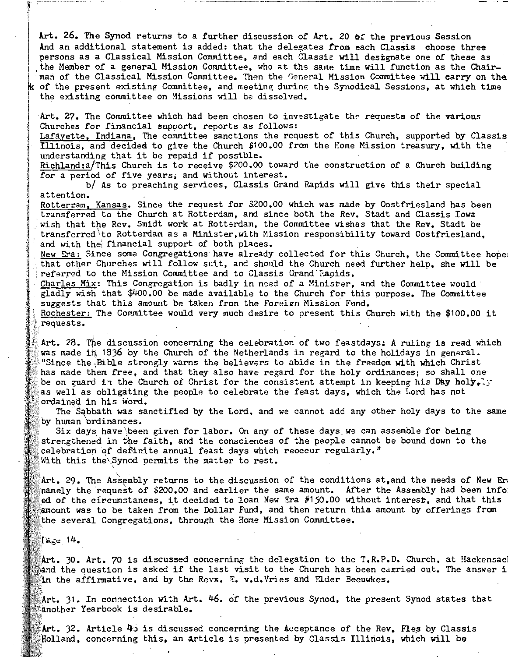Art. 26. The Synod returns to a further discussion of Art. 20 ef the previous Session And an additional statement is added: that the delegates from each Classis choose three persons as a Classical Mission Committee, and each Classis will designate one of these as the Member of a general Mission Committee, who at the same time will function as the Chairman of the Classical Mission Committee. Then the General Mission Committee will carry on the  $k$  of the present existing Committee, and meeting during the Synodical Sessions, at which time the existing committee on Missions will be dissolved.

Art. 27. The Committee which had been chosen to investigate the requests of the various Churches for financial support, reports as follows:

Lafayette, Indiana, The committee sanctions the request of this Church, supported by Classis Illinois, and decided to give the Church \$100.00 from the Home Mission treasury, with the understanding that it be repaid if possible.

Richland:a/This Church is to receive \$200.00 toward the construction of a Church building for a period of five years, and without interest.

b/ As to preaching services, Classis Grand Rapids will give this their special attention.

Rotterram, Kansas. Since the request for \$200.00 which was made by Oostfriesland has been transferred to the Church at Rotterdam, and since both the Rev. Stadt and Classis Iowa wish that the Rev. Smidt work at Rotterdam, the Committee wishes that the Rev. Stadt be transferred to Rotterdam as a Minister, with Mission responsibility toward Oostfriesland. and with the financial support of both places.

New Sra: Since some Congregations have already collected for this Church, the Committee hope: that other Churches will follow suit, and should the Church need further help, she will be referred to the Mission Committee and to Classis Grand Raoids.

Charles Mix: This Congregation is badly in need of a Minister, and the Committee would gladly wish that \$400.00 be made available to the Church for this purpose. The Committee suggests that this amount be taken from the Foreign Mission Fund.

Rochester: The Committee would very much desire to present this Church with the \$100.00 it requests.

Art. 28. The discussion concerning the celebration of two feastdays: A ruling is read which was made ih 18)6 by the Church of the Netherlands in regard to the holidays in general. "Since the ,'Bible strongly warns the believers to abide in the freedom with which Christ has made them free, and that they also have regard for the holy ordinances; so shall one' be on guard in the Church of Christ for the consistent attempt in keeping his Day holy.: as well as obligating the people to celebrate the feast days, which the Lord has not ordained in his *Word*.

The Sabbath was sanctified by the Lord, and we cannot add any other holy days to the same by human ordinances.

Six days have been given for labor. On any of these days we can assemble for being strengthened in the faith, and the consciences of the people cannot be bound down to the celebration of definite annual feast days which reoccur regularly." With this the Synod permits the matter to rest.

Art. 29. The Assembly returns to the discussion of the conditions at,and the needs of New Er namely the request of \$200.00 and earlier the same amount. After the Assembly had been info: ed of the circumstances, it decided to loan New Era  $#150.00$  without interest, and that this amount was to be taken from the Dollar Fund, and then return this amount by offerings from the several Congregations, through the Home Mission Committee.

 $a_5e$  14.

Art. 30. Art. 70 is discussed concerning the delegation to the  $T$ .R.P.D. Church, at Hackensac and the question is asked if the last visit to the Church has been carried out. The answer i the affirmative, and by the Revs. S. v.d.Vries and Elder Beeuwkes.

 $31.$  In connection with Art. 46. of the previous Synod, the present Synod states that another Yearbook is desirable.

Art. 32. Article 45 is discussed concerning the acceptance of the Rev. Fles by Classis Holland, concerning this, an article is presented by Classis Illinois, which will be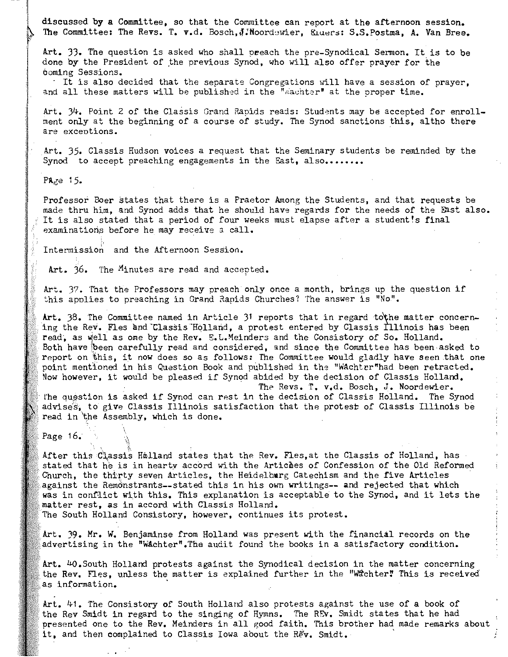discussed by a Committee, so that the Committee can report at the afternoon session. The Committee: The Revs. T. v.d. Bosch, J. Noordewier, *Eluers: S.S.Postma, A. Van Bree.* 

Art. 33. The question is asked who shall preach the pre-Synodical Sermon. It is to be done by the President of the previous Synod, who will also offer prayer for the coming Sessions.

It is also decided that the separate Congregations will have a session of prayer. and all these matters will be published in the "wachter" at the proper time.

Art. 34. Point 2 of the Classis Grand Rapids reads: Students may be accepted for enrollment only at the beginning of a course of study. The Synod sanctions this, altho there **are exceotions.** 

Art. 35. Classis Hudson voices a request that the Seminary students be reminded by the Synod to accept preaching engagements in the East, also.......

PAge  $15$ .

Professor Boer states that there is a Praetor Among the Students, and that requests be made thru him, and Synod adds that he should have regards for the needs of the East also. It is also stated that a period of four weeks must elapse after a student's final examinations before he may receive  $a$  call.

Intermission and the Afternoon Session.

Art. 36. The Minutes are read and accepted.

Art. 37. That the Professors may preach only once a month, brings up the question if this applies to preaching in Grand Rapids Churches? The answer is "No".

Art.  $38$ . The Committee named in Article  $3<sup>1</sup>$  reports that in regard to the matter concerning the Rev. Fles and Classis Holland, a protest entered by Classis Illinois has been read, as well as one by the Rev. E.L.Meinders and the Consistory of So. Holland. Both have been carefully read and considered, and since the Committee has been asked to report on this, it now does so as follows: The Committee would gladly have seen that one point mentioned in his Question Book and published in the "WAchter"had been retracted. Now however, it would be pleased if Synod abided by the decision of Classis Holland.

*The* Revs. T. v.d. Bosch, J. Noordewier. The question is asked if Synod can rest in the decision of Classis Holland. The Synod advises, to give Classis Illinois satisfaction that the protest of Classis Illinois be read in the Assembly, which is done.

Page 16.

After this Classis Hmlland states that the Rev. Fles,at the Classis of Holland, has  $\cdot$ stated that he is in hearty accord with the Articmes of Confession of the Old Reformed Church, the thirty seven articles, the Heidelburg Catechism and the five Articles against the Remdnstrants--stated this in his own writings-- and rejected that which was in conflict with this. This explanation is acceptable to the Synod, and it lets the matter rest, as in accord With Classis Holland.

The South Holland Consistory, however, continues its protest.

Art. 39. Mr. W. Benjaminse from Holland was present With the financial records on the advertising in the "WAchter".Ths audit found the books in a satisfactory condition.

Art.  $40.$  South Holland protests against the Synodical decision in the matter concerning the Rev. Fles, unless the matter is explained further in the "Wichter" This is received as information.

Art. 41. The Consistory of South Holland also protests against the use of a book of the Rev Smidt in regard to the singing of Hymns. The REv. Smidt states that he had presented one to the Rev. Meinders in all good faith. This brother had made remarks about it, and then complained to Classis Iowa about the Rev. Smidt.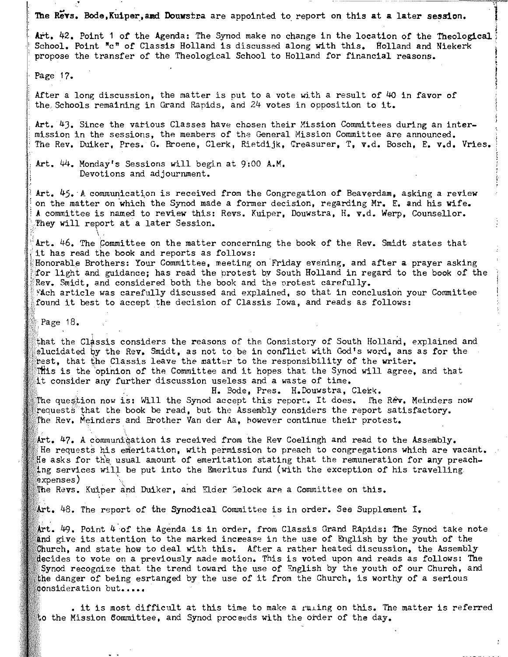The Revs. Bode, Kuiper, and Douwstra are appointed to report on this at a later session.

Art. 42. Point 1 of the Agenda: The Synod make no change in the location of the Theological School. Point "c" of Classis Holland is discussed along with this. Holland and Niekerk propose the transfer of the Theological School to Holland for financial reasons.

Page 17.

After a long discussion, the matter is put to a vote with a result of 40 in favor of the Schools remaining in Grand Rapids, and  $24$  votes in opposition to it.

Art. 4). Since the various Classes have chosen their Mission Committees during an intermission in the sessions, the members of the General Mission Committee are announced. The Rev. Duiker, Pres. G. Broene, Clerk, Rietdijk, Creasurer, T, v.d. Bosch, E. v.d. Vries.

Art. 44. Monday's Sessions will begin at 9:00 A.M. Devotions and adjournment.

Art. 45. A communication is received from the Congregation of Beaverdam, asking a review on the matter on which the Synod made a former decision, regarding Mr. E. and his wife. A committee is named to review this: Revs. Kuiper, Douwstra, H. v.d. Werp, Counsellor. They will report at a later Session.

Art. 46. The Committee on the matter concerning the book of the Rev. Smidt states that it has read the book and reports as follows:

Honorable Brothers: Your Committee, meeting on Friday evening, and after a prayer asking for light and guidance; has read the protest by South Holland in regard to the book of the Rev. Smidt, and considered both the book and the protest carefully. ~Ach article was carefully discussed and explained, so that in conclusion your Committee found it best to accept the decision of Classis Iowa, and reads as follows:

Page 18.

 $\setminus$ 

that the Classis considers the reasons of the Consistory of South Holland, explained and elucidated by the Rev. Smidt, as not to be in conflict with God's word, ans as for the frest. that the Classis leave the matter to the responsibility of the writer.  $\mathbb R$  is the opinion of the Committee and it hopes that the Synod will agree, and that consider any further discussion useless and a waste of time.

H. Bode, Pres. H.Douwstra, Clekk. The question now is: Will the Synod accept this report. It does. The Rev. Meinders now  $r$  requests that the book be read, but the Assembly considers the report satisfactory. The Rev. Meinders and Brother Van der Aa, however continue their protest.

 $\#$ rt. 47. A communication is received from the Rev Coelingh and read to the Assembly. He requests his emeritation, with permission to preach to congregations which are vacant. He asks for the usual amount of emeritation stating that the remuneration for any preaching services will be put into the Emeritus fund (with the exception of his travelling  $_{\rm 3xpenses}$  )

The Revs. Kuiper and Duiker, and Elder Gelock are a Committee on this.

Art. 48. The report of the Synodical Committee is in order. See Supplement I.

 $\Delta$ rt. 49. Point 4 of the Agenda is in order, from Classis Grand Rapids: The Synod take note give its attention to the marked inceease in the use of English by the youth of the Church, and state how to deal with this. After a rather heated discussion, the Assembly decides to vote on a previously made motion. This is voted upon and reads as follows: The Synod recognize that the trend toward the use of  $English$  by the youth of our Church, and the danger of being esrtanged by the use of it from the Church, is worthy of a serious **consideration but.....** 

. it is most difficult at this time to make a  $r$ uling on this. The matter is referred to the Mission Committee, and Synod proceeds with the order of the day.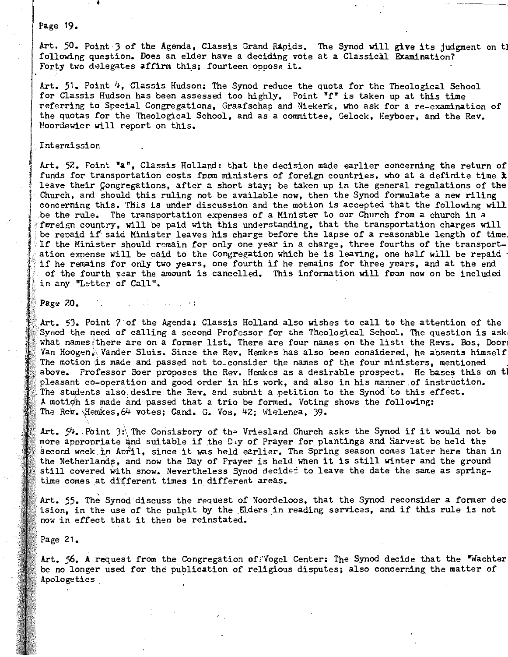### Page 19.

.<br>Int. 50. Point 3 of the Agenda. Classis Grand RApids. The Synod will give its judgment on th following question. Does an elder have a deciding vote at a Classical Examination? Forty two delegates affirm this; fourteen oppose it.

Art. 51. Point 4, Classis Hudson: The Synod reduce the quota for the Theological School for Classis Hudson has been assessed too highly. Point "f" is taken up at this time referring to Special Congregations, Graafschap and Niekerk, who ask for a re-examination of the quotas for the Theological School, and as a committee, Gelock, Heyboer, and the Rev. Moordewier will report on this.

#### Intermission

Art. 52. Point "a", Classis Holland: that the decision made earlier concerning the return of funds for transportation costs from ministers of foreign countries, who at a definite time  $\bm{\dot{x}}$ leave their Congregations, after a short stay; be taken up in the general regulations of the Church, and should this ruling not be available now, then the Synod formulate a new riling concerning this. This is under discussion and the motion is accepted that the following will be the rule. The transportation expenses of a Minister to our Church from a church in a foreign country, will be paid with this understanding, that the transportation charges will be repaid if said Minister leaves his charge before the lapse of a reasonable length of time If the Minister should remain for only one year in a charge, three fourths of the transportit the Minister should remain for only one year in a charge, three fourths of the transport-<br>tion expense will be paid to the Congregation which he is leaving, one half will be repaid ition expense will be paid to the Congregation which he is leaving, one half will be repaid<br>If he remains for only two vears, one fourth if he remains for three years, and at the end if he remains for only two years, one fourth if he remains for three years, and at the end<br>of the fourth year the amount is cancelled. This information will from now on be included in any "Letter of Call".

Page 20.

Art. 53. Point 7 of the Agenda: Classis Holland also wishes to call to the attention of the Synod the need of calling a second Professor for the Theological School. The question is ask what names there are on a former list. There are four names on the list: the Revs. Bos. Door Van Hoogen, Vander Sluis. Since the Rev. Hemkes has also been considered, he absents himself The motion is made and passed not to consider the names of the four ministers, mentioned above. Professor Boer proposes the Rev. Hemkes as a desirable prospect. He bases this on tl pleasant co-operation and good order in his work, and also in his manner of instruction. The students also desire the Rev. and submit a petition to the Synod to this effect. A motion is made and passed that a trio be formed. Voting shows the following: The Rev. Hemkes, 64 votes; Cand. G. Vos, 42; Wielenga, 39.

Art.  $54$ . Point 3: The Consistory of the Vriesland Church asks the Synod if it would not be more appropriate and suitable if the Day of Prayer for plantings and harvest be held the ore appropriate and suitable if the Diy of Prayer for plantings and Harvest be held the<br>econd week in Aoril, since it was held earlier. The Spring season comes later here than in econd week in Aoril, since it was held earlier. The Spring season comes later here than in<br>he Netherlands. and now the Day of Prayer is held when it is still winter and the ground the Netherlands, and now the Day of Prayer is held when it is still winter and the ground<br>still covered with snow. Nevertheless Synod decide: to leave the date the same as springtime comes at different times in different areas.

Art. 55. The Synod discuss the request of Noordeloos, that the Synod reconsider a former dec rt. 55. The Synod discuss the request of Noordeloos, that the Synod reconsider a former de<br>sion, in the use of the bulpit by the Elders in reading services, and if this rule is not sion, in the use of the pulpit by the Eld<br>ow in effect that it then be reinstated.

Page 21.

Art. 56. A request from the Congregation of Vogel Center: The Synod decide that the "Wachter be no longer used for the publication of religious disputes; also concerning the matter of Apologetics,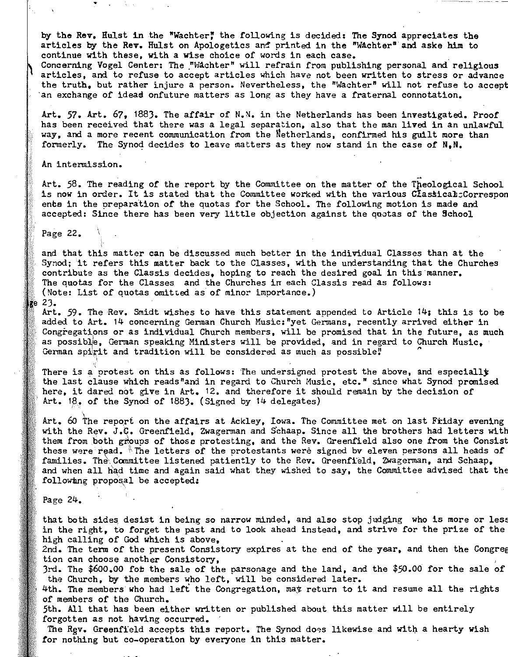by the Rev. Hulst in the "Wachter" the following is decided: The Synod appreciates the articles by the Rev. Hulst on Apologetics and printed in the "Wachter" and aske him to continue with these, with a wise choice of words in each case. ,

Concerning Vogel Center: The "Wachter" will refrain from publishing personal and religious articles, and to refuse to accept articles which have not been written to stress or advance the truth, but rather injure a person. Nevertheless, the "Wachter" will not refuse to accept 'an exchange of idead onfuture matters as long as they have a fraternal connotation.

Art. 57. Art. 67, 1883. The affair of N.N. in the Netherlands has been investigated. Proof has been received that there was a legal separation, also that the man lived in an unlawful way, and a more recent communication from the Metherlands, confirmed his guilt more than formerly. The Synod decides to leave matters as they now stand in the case of N.N.

An intermission.

.';

Art. 58. The reading of the report by the Committee on the matter of the Tpeological School is now in order. It is stated that the Committee worked with the various CtassicaB:Correspon ents in the preparation of the quotas for the School. The following motion is made and accepted: Since there has been very little objection against the quotas of the School

Page 22.

and that this matter can be discussed much better in the individual Classes than at the Synod; it refers this matter back to the Classes, with the understanding that the Churches contribute as the Classis decides. hoping to reach the desired goal in this 'manner. The quotas for the Classes and the Churches in each Classis read as follows: (Note: List of quotas omitted as of minor importance.)

 $ge$  23.

Art. 59. The Rev. Smidt wishes to have this statement appended to Article 14; this is to be added to Art. 14 concerning German Church Music:"yet Germans, recently arrived either in Congregations or as individual Church members, will be promised that in the future, as much as possible, German speaking Ministers will be provided, and in regard to Church Music, German spirit and tradition will be considered as much as possible!

There is a protest on this as follows: The undersigned protest the above, and especially the last clause which reads"and in regard to Church Music, etc." since what Synod promised here, it dared not give in Art. 12. and therefore it should remain by the decision of Art. 18,. of the Synod of 188). (Signed by 14 delegates)

Art. 60 The report on the affairs at Ackley, Iowa. The Committee met on last Friday evening with the Rev. J.C. Greenfield, Zwagerman and Schaap. Since all the brothers had letters with them from both groups of those protesting, and the Rev. Greenfield also one from the Consist these were read. Ine letters of the protestants were signed by eleven persons all heads of families. The Committee listened patiently to the Rev. Greenfield, Zwagerman, and Schaap, and when all had time and again said what they wished to say, the Committee advised that the following proposal be accepted:

Page 24.

that both sides desist in being so narrow minded, and also stop judging who is more or less in the right, to forget the past and to look ahead instead, and strive for the prize of the high calling of God which is above.

2nd. The term of the present Consistory expires at the end of the year, and then the Congreg tion can choose another Consistory,

3rd. The  $$600.00$  fot the sale of the parsonage and the land, and the  $$50.00$  for the sale of the Church. by the members who left, will be considered later.

4th. The members who had left the Congregation, may return to it and resume all the rights of members of the Church.

5th. All that has been either written or published about this matter will be entirely forgotten as not having occurred.

The Rgv. Greenfield accepts this report. The Synod does likewise and with a hearty wish for nothing but co-operation by everyone in this matter.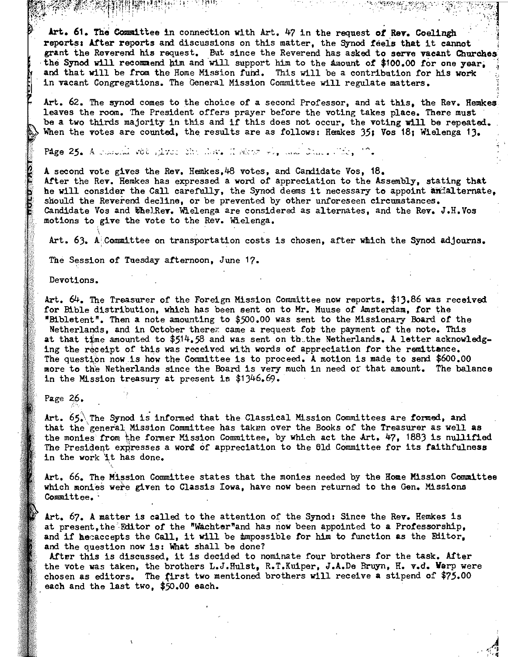$\sim$  , , , Art. 61. The Committee in connection with Art. 47 in the request of Rev. Coelingh reports: After reports and discussions on this matter, the Synod feels that it cannot grant the Reverend his request. But since the Reverend has asked to serve vacant Churches<br>the Synod will recommend him and will support him to the Amount of \$100.00 for one year, and that will be from the Home Mission fund. This will be a contribution for his work in vacant Congregations. The General Mission Committee will regulate matters.

 $\ast$  is the set of  $\mathbf{J}$  .

Art. 62. The synod comes to the choice of a second Professor, and at this, the Rev. Hemkes leaves the room. The President offers prayer before the voting takes place. There must be a two thirds majority in this and if this does not occur, the voting will be repeated. When the votes are counted, the results are as follows: Hemkes 35; Vos 18; Wielenga 13.

Page  $25.$  A resolution of , i.v.:  $25.$  . Now . If the  $r \neq r$ , and  $25.$  . The,  $15.$ 

A second vote gives the Rev. Hemkes,48 votes, and Candidate Vos, 18. After the Rev. Hemkes has expressed a word of appreciation to the Assembly, stating that he will consider the Call carefully, the Synod deems it necessary to appoint anialternate, should the Reverend decline, or be prevented by other unforeseen circumstances. Candidate Vos and WhelRev. Wielenga are considered as alternates, and the Rev. J.H.Vos motions to give the vote to the Rev. Wielenga.

Art.  $63.$  A Committee on transportation costs is chosen, after which the Synod adjourns.

The Session of Tuesday afternoon, June 17.

Devotions.

Art. 64. The Treasurer of the Foreign Mission Committee now reports. \$13.86 was reoeived for Bible distribution, whioh has been eent on to Mr. Muuse of Amsterdam, for the "Bibletent". Then a note amounting to *\$500.00* was sent to the Missionary Board *of* the Netherlands, and in October there<sub>z</sub> came a request for the payment of the note. This at that time amounted to  $$5.14.58$  and was sent on the Netherlands. A letter acknowledging the receipt of this was received with words of appreciation for the remittance. The question now is how the Committee is to proceed. A motion is made to send \$600.00 more to the Netherlands since the Board is very much in need of that amount. The balance in the Mission treasury at present is \$1346.69.

Page  $26.$ 

Art. 65. The Synod is informed that the Classical Mission Committees are formed, and that the 'general, Mission Committee has taken over the Books of the Treasurer as well as the monies from the former Mission Committee, by which act the Art. 47, 1883 is nullified The President expresses a word of appreciation to the 61d Committee for its faithfulness in the work lt has done.

Art. 66. The Mission Committee states that the monies needed by the Home Mission Committee which monies were given to Classis Iowa, have now been returned to the Gen. Missions  $Complitude.$ 

Art. 67. A matter is called to the attention of the Synod: Since the Rev. Hemkes is at present, the 'Editor of the "Wachter"and has now been appointed to a Professorship, and if heeaccepts the Call, it will be impossible for him to function as the Editor. and the question now is: What shall be done?

After this is discussed, it is decided to nominate four brothers for the task. After the vote was taken, the brothers L.J.Hulst, R.T.Kuiper, J.A.De Bruyn, H. v.d. Warp were chosen as editors. The {irst two mentioned brothers will receive a stipend of \$75.00 , each and the last two, *\$50.00* each.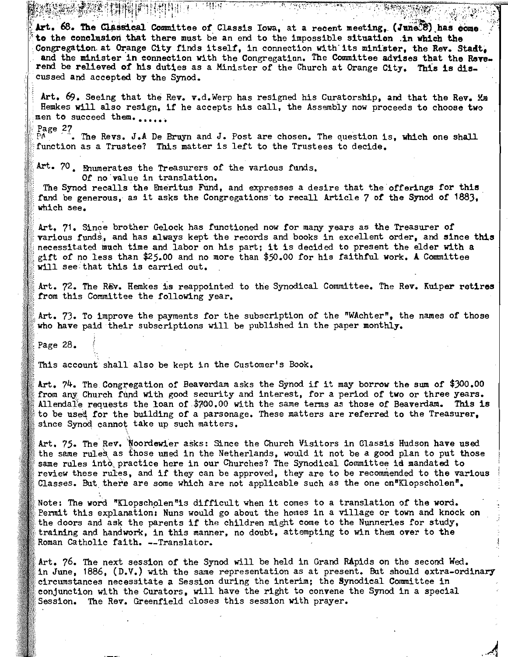. , . "" ." ... :~<.: .. ~.,.".'::, ': ' .. ~),.}"{,:"~',! Art. 68. The Classical Committee of Classis Iowa, at a recent meeting, (June<sup>3</sup>8) has come **to** the conclusion that there must be an end to the impossible situation .in which the Congregation at Orange City finds itself, in connection with its minister, the Rev. Stadt, and the minister in connection with the Congregation. The Committee advises that the Reverend be relieved of his duties as a Minister of the Church at Orange City. This is dis-'cussed and accepted by the Synod.

 $\mathbb{R}^{1,2}$  .  $\mathbb{R}^{1,2}$  .  $\mathbb{R}^{1,2}$  .  $\mathbb{R}^{1,2}$  .  $\mathbb{R}^{2,2}$  .  $\mathbb{R}^{2,2}$  .  $\mathbb{R}^{2,2}$  .  $\mathbb{R}^{2,2}$  .  $\mathbb{R}^{2,2}$  .  $\mathbb{R}^{2,2}$  .  $\mathbb{R}^{2,2}$  .  $\mathbb{R}^{2,2}$  .  $\mathbb{R}^{2,2}$  .  $\mathbb{R}^{2,2}$ 

Art.  $69$ . Seeing that the Rev. v.d. Werp has resigned his Curatorship, and that the Rev.  $\mathfrak{g}_{\mathfrak{m}}$ Hemkes will also resign, if he accepts his call, the Assembly now proceeds to choose two men to succeed them......

Page  $27$ . The Revs. J.A De Bruyn and J. Post are chosen. The question is, which one shall function as a Trustee? This matter is left to the Trustees to decide.

Art. 70. Enumerates the Treasurers of the various funds. *Of* no 'value in translation.

新特银字 1.1MBH

The Synod recalls the Emeritus Fund, and expresses a desire that the offerings for this fund be generous,' as it asks the Congregations'to recall Article 7 *of* the Synod of 1883, which see.

Art. 71. Since brother Gelock has functioned now for many years as the Treasurer of **various funds;**, and has always kept the records and books in excellent order, and since this neoessitated much time and labor on his part; it is decided to present the elder with a gift *of* no less than \$25.00 and no more than \$50.00 *for* his faithful work. A Committee will see that this is carried out.

Art. 72. The Rev. Hemkes is reappointed to the Synodical Committee. The Rev. Kuiper retires from this Committee the following year.

Art. 73. To improve the payments *for* the subscription of the "WAchter", the names *of* those who have paid their subscriptions will be published in the paper monthly.

Page 28.

,

This account shall also be kept in the Customer's Book.

Art. 74. The Congregation of Beaverdam asks the Synod if it may borrow the sum *of \$300.00*  from any Church fund with good security and interest, for a period of two or three years. A1lendafe requests the loan of \$700.00 with the same terms as those *of* Beaverdam. This is to be used for the building of a parsonage. These matters are referred to the Treasurer. since Synod cannot take up such matters.

Art. 75. The Rev.'Noordewier asks: Since the Church Visitors in Classis Hudson have used the same rules as those uned in the Netherlands, would it not be a good plan to put those same rules into practice here in our Churches? The Synodical Committee is mandated to review these rules, and if they can be approved, they are to be recommended to the various Classes. But there are some which are not applicable such as the one on"Klopscholen".

Note: The word "Klopscholen"is difficult when it comes to a translation of the word. Permit this explanation: Nuns would go about the homes in a village or town and knock on the doors and ask the parents if the children might come to the Nunneries for study, training and handwork, in this manner, no doubt, attempting to win them over to the Roman Catholic faith. --Translator.

Art. 76. The next session of the Synod will be held in Grand RApids On the second Wed. in June, 1886, (D.V.) with the same representation as at present. But should extra-ordinary circumstances necessitate a Session during the interim; the Synodical Committee in conjunction with the Curators, will have the right to convene the Synod in a special Session. The Rev. Greenfield closes this session with prayer.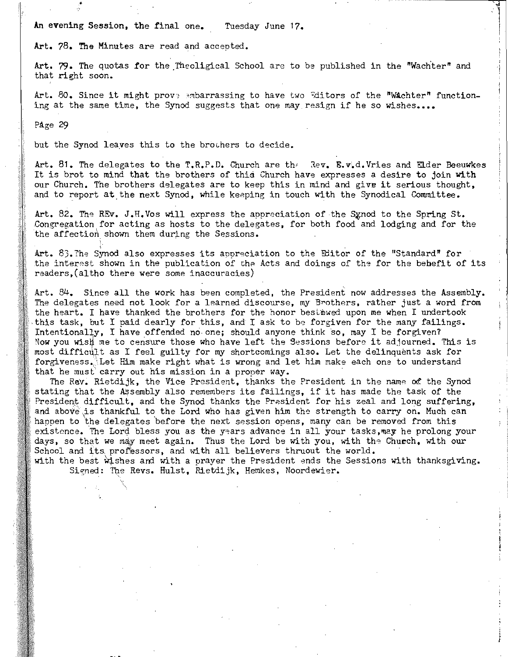An evening Session, the final one. Tuesday June 17.

Art. 78. The Minutes are read and accepted.

Art. 79. The quotas for the Theoligical School are to be published in the "Wachter" and that right soon.

 $\overline{\phantom{a}}$ 

Art. 80. Since it might prove embarrassing to have two "ditors of the "Wachter" functioning at the same time, the Synod suggests that one may resign if he so wishes....

PAge 29

•

but the Synod leaves this to the brochers to decide.

Art. 81. The delegates to the T.R.P.D. Church are the Rev. **E.v.d. Vries and Elder Beeuwkes** It is brot to mind that the brothers of this Church have expresses a desire to join with our Church. The brothers delegates are to keep this in mind and give it serious thought, and to report at the next Synod, while keeping in touch with the Synodical Committee.

Art. 82. The REv. J.H.Vos will express the appreciation of the Synod to the Spring St. Congrega tion. for acting as hosts to the delegates, for both food and lodging and for the the affection shown them during the Sessions.

Art.  $83.$ The Synod also expresses its appreciation to the Editor of the "Standard" for the interest shown in the publication of the Acts and doings of the for the bebefit of its readers, (altho there were some inaccuracies)

Art. 84. Since all the work has been completed, the President now addresses the Assembly. The delegates need not look for a learned discourse, my Brothers, rather just a word from the heart. I have thanked the brothers for the honor bestmwed upon me when I undertook .this task, but I paid dearly for this, and I ask to be forgiven for the many failings. Intentionally, I have offended no one; should anyone think so, may I be forgiven7 Now you wish me to censure those who have left the Sessions before it adjourned. This is most difficult as I feel guilty for my shortcomings also. Let the delinquents ask for forgiveness. Let Him make right what is wrong and let him make each one to understand that he must' carry out his mission in a proper way.

The Rev. Rietdijk, the Vice President, thanks the President in the name of the Synod stating that the Assembly also remembers its failings, if it has made the task of the President difficult, and the Synod thanks the President for his zeal and long suffering, and above is thankful to the Lord who has given him the strength to carry on. Much can happen to the delegates before the next session opens, many can be removed from this . existence. The Lord bless you as the years advance in all your tasks, may he prolong your days, so that we may meet again. Thus the Lord be with you, with the Church, with our School and its professors, and with all believers thruout the world.

with the best wishes and with a prayer the President ends the Sessions with thanksgiving. Signed: The Revs. Hulst. Rietdijk, Hemkes, Noordewier.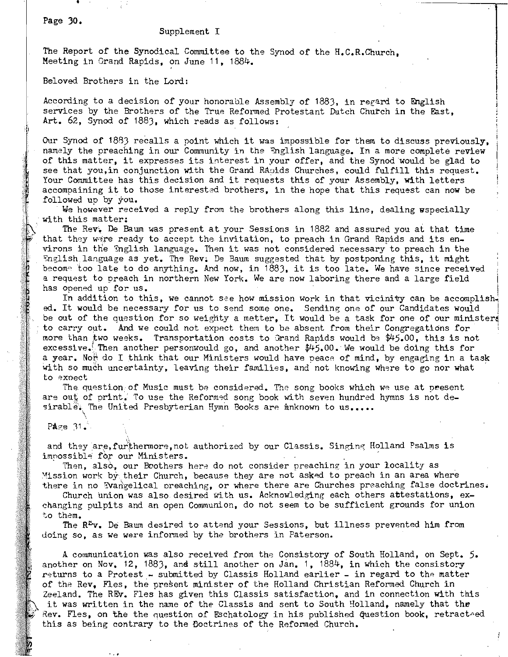Page **30.** 

### Supplement I

The Report of the Synodical Committee to the Synod of the H.C.R.Church, Meeting in Grand Rapids, on June 11, 1884.

Beloved Brothers in the Lord:

According to a decision of your honorable Assembly of 1883, in regard to English services by the Brothers of the True Reformed Protestant Dutch Church in the East, **Art.** 62, Synod of 1883, which reads as follows:

Our Synod of 1883 recalls a point which it was impossible for them to discuss previously, namely the preaching in our Community in the Inglish language. In a more complete review of this matter, it expresses its interest in your offer, and the Synod would be glad to see that you, in conjunction with the Grand Rasids Churches, could fulfill this request. Your Committee has this decision and it requests this of your Assembly, with letters accompaining it to those interested brothers, in the hope that this request can now be followed up by you.

We however received a reply from the brothers along this line, dealing uspecially with this matter:

The Rev~ De Baum was present at your Sessions in 1882 and assured you at that time that they were ready to accept the invitation, to preach in Grand Rapids and its environs in tne Snglish language. Then it was not conSidered necessary to preach in the English language as yet. The Rev. De Baum suggested that by postponing this, it might becom~ too late to do anything. And now, in 1883, it is too late. We have since received a request to preach in northern New York. We are now laboring there and a large field has opened up for us.

In addition to this, we cannot see how mission work in that vicinity can be accomplished. It would be necessary for us to send some one. Sending one of our Candidates would be out of the question for so weighty a metter, It would be a task for one of our ministers to carry out. And we could not expect them to be absent from their Congregations for more than two weeks. Transportation costs to Grand Rapids would be \$45.00, this is not excessive.', Then another personwould go, and another \$45.00. We would be doing this for a year. Noh do I think that our Ministers would have peace of mind, by engaging in a task with so much uncertainty, leaving their families, and not knowing where to go nor what to expect

The question of Music must be considered. The song books which we use at present are out of print. To use the Reformed song book with seven hundred hymns is not desirable. The United Presbyterian Hymn Books are mnknown to us.....  $\ddot{\phantom{0}}$ 

 $P_{\frac{area}{2}}$  31.

and they are, furthermore, not authorized by our Classis. Singing Holland Psalms is impossible for our Ministers.<br>Then, also, our Boothers here do not consider preaching in your locality as

Mission work by their Church, because they are not asked to preach in an area where there in no Evangelical preaching, or where there are Churches preaching false doctrines.

Church union was also desired with us. Acknowledging each others attestations, exchanging pulpits and an open Communion, do not seem to be sufficient grounds for union to them.

The  $\mathbb{R}^{\mathbb{Z}}$ v. De Baum desired to attend your Sessions, but illness prevented him from doing so, as We were informed by the brothers in Paterson.

A communication was also received from the Consistory of South Holland, on Sept. 5. another on Nov. 12, 1883, and still another on Jan. 1,  $1884$ , in which the consistory returns to a Protest - submitted by Classis Holland earlier - in regard to the matter of the Rev, Fles, the present minister of the Holland Christian Reformed Church in Zeeland. The REv. Fles has given this Classis satisfaction, and in connection with this it was written in the name of the Classis and sent to South Holland, namely that the Rev. Fles, on the the question of Eschatology in his published question book, retracted this as being contrary to the Doctrines of the Reformed Church.